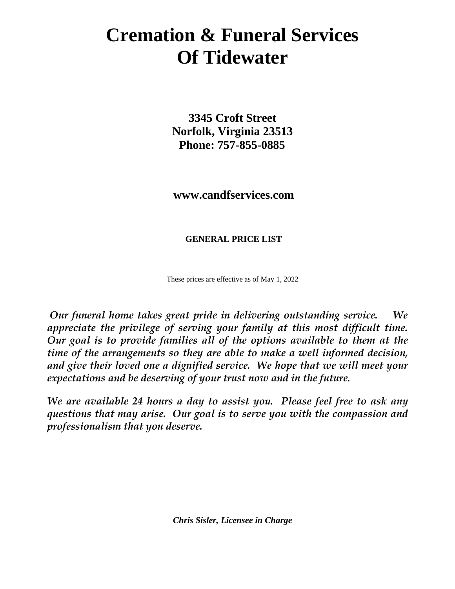# **Cremation & Funeral Services Of Tidewater**

**3345 Croft Street Norfolk, Virginia 23513 Phone: 757-855-0885**

 **www.candfservices.com**

**GENERAL PRICE LIST**

These prices are effective as of May 1, 2022

*Our funeral home takes great pride in delivering outstanding service. We appreciate the privilege of serving your family at this most difficult time. Our goal is to provide families all of the options available to them at the time of the arrangements so they are able to make a well informed decision, and give their loved one a dignified service. We hope that we will meet your expectations and be deserving of your trust now and in the future.*

*We are available 24 hours a day to assist you. Please feel free to ask any questions that may arise. Our goal is to serve you with the compassion and professionalism that you deserve.*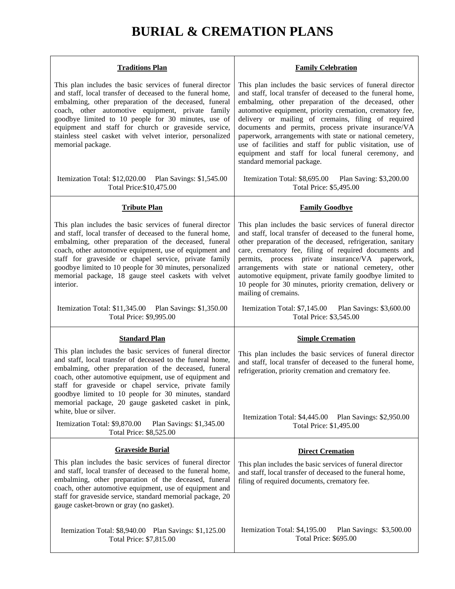## **BURIAL & CREMATION PLANS**

| <b>Traditions Plan</b>                                                                                                                                                                                                                                                                                                                                                                                                                         | <b>Family Celebration</b>                                                                                                                                                                                                                                                                                                                                                                                                                                                                                                                                              |
|------------------------------------------------------------------------------------------------------------------------------------------------------------------------------------------------------------------------------------------------------------------------------------------------------------------------------------------------------------------------------------------------------------------------------------------------|------------------------------------------------------------------------------------------------------------------------------------------------------------------------------------------------------------------------------------------------------------------------------------------------------------------------------------------------------------------------------------------------------------------------------------------------------------------------------------------------------------------------------------------------------------------------|
| This plan includes the basic services of funeral director<br>and staff, local transfer of deceased to the funeral home,<br>embalming, other preparation of the deceased, funeral<br>coach, other automotive equipment, private family<br>goodbye limited to 10 people for 30 minutes, use of<br>equipment and staff for church or graveside service,<br>stainless steel casket with velvet interior, personalized<br>memorial package.         | This plan includes the basic services of funeral director<br>and staff, local transfer of deceased to the funeral home,<br>embalming, other preparation of the deceased, other<br>automotive equipment, priority cremation, crematory fee,<br>delivery or mailing of cremains, filing of required<br>documents and permits, process private insurance/VA<br>paperwork, arrangements with state or national cemetery,<br>use of facilities and staff for public visitation, use of<br>equipment and staff for local funeral ceremony, and<br>standard memorial package. |
| Itemization Total: \$12,020.00<br>Plan Savings: \$1,545.00<br>Total Price: \$10,475.00                                                                                                                                                                                                                                                                                                                                                         | Itemization Total: \$8,695.00<br>Plan Saving: \$3,200.00<br>Total Price: \$5,495.00                                                                                                                                                                                                                                                                                                                                                                                                                                                                                    |
| <b>Tribute Plan</b>                                                                                                                                                                                                                                                                                                                                                                                                                            | <b>Family Goodbye</b>                                                                                                                                                                                                                                                                                                                                                                                                                                                                                                                                                  |
| This plan includes the basic services of funeral director<br>and staff, local transfer of deceased to the funeral home,<br>embalming, other preparation of the deceased, funeral<br>coach, other automotive equipment, use of equipment and<br>staff for graveside or chapel service, private family<br>goodbye limited to 10 people for 30 minutes, personalized<br>memorial package, 18 gauge steel caskets with velvet<br>interior.         | This plan includes the basic services of funeral director<br>and staff, local transfer of deceased to the funeral home,<br>other preparation of the deceased, refrigeration, sanitary<br>care, crematory fee, filing of required documents and<br>permits, process private insurance/VA paperwork,<br>arrangements with state or national cemetery, other<br>automotive equipment, private family goodbye limited to<br>10 people for 30 minutes, priority cremation, delivery or<br>mailing of cremains.                                                              |
| Itemization Total: \$11,345.00 Plan Savings: \$1,350.00<br>Total Price: \$9,995.00                                                                                                                                                                                                                                                                                                                                                             | Itemization Total: \$7,145.00<br>Plan Savings: \$3,600.00<br>Total Price: \$3,545.00                                                                                                                                                                                                                                                                                                                                                                                                                                                                                   |
| <b>Standard Plan</b>                                                                                                                                                                                                                                                                                                                                                                                                                           | <b>Simple Cremation</b>                                                                                                                                                                                                                                                                                                                                                                                                                                                                                                                                                |
| This plan includes the basic services of funeral director<br>and staff, local transfer of deceased to the funeral home,<br>embalming, other preparation of the deceased, funeral<br>coach, other automotive equipment, use of equipment and<br>staff for graveside or chapel service, private family<br>goodbye limited to 10 people for 30 minutes, standard<br>memorial package, 20 gauge gasketed casket in pink,<br>white, blue or silver. | This plan includes the basic services of funeral director<br>and staff, local transfer of deceased to the funeral home,<br>refrigeration, priority cremation and crematory fee.<br>Itemization Total: \$4,445.00<br>Plan Savings: \$2,950.00                                                                                                                                                                                                                                                                                                                           |
| Itemization Total: \$9,870.00<br>Plan Savings: \$1,345.00<br>Total Price: \$8,525.00                                                                                                                                                                                                                                                                                                                                                           | Total Price: \$1,495.00                                                                                                                                                                                                                                                                                                                                                                                                                                                                                                                                                |
| <b>Graveside Burial</b>                                                                                                                                                                                                                                                                                                                                                                                                                        | <b>Direct Cremation</b>                                                                                                                                                                                                                                                                                                                                                                                                                                                                                                                                                |
| This plan includes the basic services of funeral director<br>and staff, local transfer of deceased to the funeral home,<br>embalming, other preparation of the deceased, funeral<br>coach, other automotive equipment, use of equipment and<br>staff for graveside service, standard memorial package, 20<br>gauge casket-brown or gray (no gasket).                                                                                           | This plan includes the basic services of funeral director<br>and staff, local transfer of deceased to the funeral home,<br>filing of required documents, crematory fee.                                                                                                                                                                                                                                                                                                                                                                                                |
|                                                                                                                                                                                                                                                                                                                                                                                                                                                |                                                                                                                                                                                                                                                                                                                                                                                                                                                                                                                                                                        |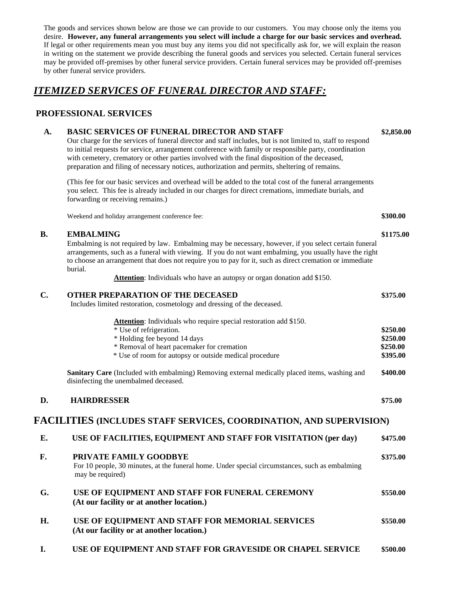The goods and services shown below are those we can provide to our customers. You may choose only the items you desire. **However, any funeral arrangements you select will include a charge for our basic services and overhead.**  If legal or other requirements mean you must buy any items you did not specifically ask for, we will explain the reason in writing on the statement we provide describing the funeral goods and services you selected. Certain funeral services may be provided off-premises by other funeral service providers. Certain funeral services may be provided off-premises by other funeral service providers.

### *ITEMIZED SERVICES OF FUNERAL DIRECTOR AND STAFF:*

#### **PROFESSIONAL SERVICES**

#### **A. BASIC SERVICES OF FUNERAL DIRECTOR AND STAFF \$2,850.00**

Our charge for the services of funeral director and staff includes, but is not limited to, staff to respond to initial requests for service, arrangement conference with family or responsible party, coordination with cemetery, crematory or other parties involved with the final disposition of the deceased, preparation and filing of necessary notices, authorization and permits, sheltering of remains.

(This fee for our basic services and overhead will be added to the total cost of the funeral arrangements you select. This fee is already included in our charges for direct cremations, immediate burials, and forwarding or receiving remains.)

Weekend and holiday arrangement conference fee: **\$300.00**

#### **B. EMBALMING \$1175.00**

Embalming is not required by law. Embalming may be necessary, however, if you select certain funeral arrangements, such as a funeral with viewing. If you do not want embalming, you usually have the right to choose an arrangement that does not require you to pay for it, such as direct cremation or immediate burial.

Attention: Individuals who have an autopsy or organ donation add \$150.

| C. | <b>OTHER PREPARATION OF THE DECEASED</b><br>Includes limited restoration, cosmetology and dressing of the deceased.                                                                                                                  | \$375.00                                     |
|----|--------------------------------------------------------------------------------------------------------------------------------------------------------------------------------------------------------------------------------------|----------------------------------------------|
|    | Attention: Individuals who require special restoration add \$150.<br>* Use of refrigeration.<br>* Holding fee beyond 14 days<br>* Removal of heart pacemaker for cremation<br>* Use of room for autopsy or outside medical procedure | \$250.00<br>\$250.00<br>\$250.00<br>\$395.00 |
|    | <b>Sanitary Care</b> (Included with embalming) Removing external medically placed items, washing and<br>disinfecting the unembalmed deceased.                                                                                        | \$400.00                                     |
| D. | <b>HAIRDRESSER</b>                                                                                                                                                                                                                   | \$75.00                                      |
|    | FACILITIES (INCLUDES STAFF SERVICES, COORDINATION, AND SUPERVISION)                                                                                                                                                                  |                                              |
| Е. | USE OF FACILITIES, EQUIPMENT AND STAFF FOR VISITATION (per day)                                                                                                                                                                      | \$475.00                                     |
| F. | PRIVATE FAMILY GOODBYE<br>For 10 people, 30 minutes, at the funeral home. Under special circumstances, such as embalming<br>may be required)                                                                                         | \$375.00                                     |
| G. | USE OF EQUIPMENT AND STAFF FOR FUNERAL CEREMONY<br>(At our facility or at another location.)                                                                                                                                         | \$550.00                                     |
| Η. | USE OF EQUIPMENT AND STAFF FOR MEMORIAL SERVICES<br>(At our facility or at another location.)                                                                                                                                        | \$550.00                                     |
| I. | USE OF EQUIPMENT AND STAFF FOR GRAVESIDE OR CHAPEL SERVICE                                                                                                                                                                           | \$500.00                                     |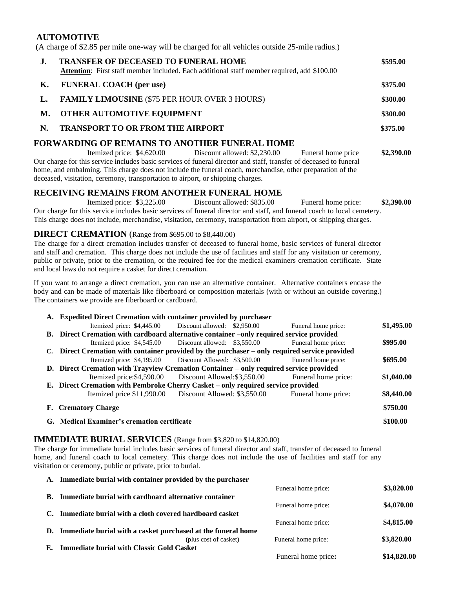#### **AUTOMOTIVE**

(A charge of \$2.85 per mile one-way will be charged for all vehicles outside 25-mile radius.)

| J. | <b>TRANSFER OF DECEASED TO FUNERAL HOME</b><br>Attention: First staff member included. Each additional staff member required, add \$100.00 |                              |                    | \$595.00   |
|----|--------------------------------------------------------------------------------------------------------------------------------------------|------------------------------|--------------------|------------|
| К. | <b>FUNERAL COACH</b> (per use)                                                                                                             |                              |                    | \$375.00   |
|    | <b>FAMILY LIMOUSINE</b> (\$75 PER HOUR OVER 3 HOURS)                                                                                       |                              | \$300.00           |            |
| M. | <b>OTHER AUTOMOTIVE EQUIPMENT</b>                                                                                                          |                              |                    | \$300.00   |
| N. | <b>TRANSPORT TO OR FROM THE AIRPORT</b>                                                                                                    |                              |                    | \$375.00   |
|    | FORWARDING OF REMAINS TO ANOTHER FUNERAL HOME                                                                                              |                              |                    |            |
|    | Itemized price: \$4,620.00                                                                                                                 | Discount allowed: \$2,230.00 | Funeral home price | \$2,390.00 |

Our charge for this service includes basic services of funeral director and staff, transfer of deceased to funeral home, and embalming. This charge does not include the funeral coach, merchandise, other preparation of the deceased, visitation, ceremony, transportation to airport, or shipping charges.

#### **RECEIVING REMAINS FROM ANOTHER FUNERAL HOME**

Itemized price: \$3,225.00 Discount allowed: \$835.00 Funeral home price: **\$2,390.00** Our charge for this service includes basic services of funeral director and staff, and funeral coach to local cemetery. This charge does not include, merchandise, visitation, ceremony, transportation from airport, or shipping charges.

#### **DIRECT CREMATION** (Range from \$695.00 to \$8,440.00)

The charge for a direct cremation includes transfer of deceased to funeral home, basic services of funeral director and staff and cremation. This charge does not include the use of facilities and staff for any visitation or ceremony, public or private, prior to the cremation, or the required fee for the medical examiners cremation certificate. State and local laws do not require a casket for direct cremation.

If you want to arrange a direct cremation, you can use an alternative container. Alternative containers encase the body and can be made of materials like fiberboard or composition materials (with or without an outside covering.) The containers we provide are fiberboard or cardboard.

|    | A. Expedited Direct Cremation with container provided by purchaser                         |                              |                     |            |
|----|--------------------------------------------------------------------------------------------|------------------------------|---------------------|------------|
|    | Itemized price: \$4,445.00                                                                 | Discount allowed: \$2,950.00 | Funeral home price: | \$1,495.00 |
|    | B. Direct Cremation with cardboard alternative container –only required service provided   |                              |                     |            |
|    | Itemized price: \$4,545.00                                                                 | Discount allowed: \$3,550.00 | Funeral home price: | \$995.00   |
| C. | Direct Cremation with container provided by the purchaser – only required service provided |                              |                     |            |
|    | Itemized price: \$4,195.00                                                                 | Discount Allowed: \$3,500.00 | Funeral home price: | \$695.00   |
|    | D. Direct Cremation with Trayview Cremation Container – only required service provided     |                              |                     |            |
|    | Itemized price: \$4,590.00                                                                 | Discount Allowed: \$3,550.00 | Funeral home price: | \$1,040.00 |
|    | E. Direct Cremation with Pembroke Cherry Casket – only required service provided           |                              |                     |            |
|    | Itemized price \$11,990.00                                                                 | Discount Allowed: \$3,550.00 | Funeral home price: | \$8,440.00 |
|    | F. Crematory Charge                                                                        |                              |                     | \$750.00   |
|    | G. Medical Examiner's cremation certificate                                                |                              |                     | \$100.00   |

#### **IMMEDIATE BURIAL SERVICES** (Range from \$3,820 to \$14,820.00)

The charge for immediate burial includes basic services of funeral director and staff, transfer of deceased to funeral home, and funeral coach to local cemetery. This charge does not include the use of facilities and staff for any visitation or ceremony, public or private, prior to burial.

|    | A. Immediate burial with container provided by the purchaser    |                     |             |
|----|-----------------------------------------------------------------|---------------------|-------------|
|    |                                                                 | Funeral home price: | \$3,820.00  |
|    | <b>B.</b> Immediate burial with cardboard alternative container |                     |             |
|    |                                                                 | Funeral home price: | \$4,070.00  |
| C. | Immediate burial with a cloth covered hardboard casket          |                     |             |
|    |                                                                 | Funeral home price: | \$4,815.00  |
|    | D. Immediate burial with a casket purchased at the funeral home |                     |             |
|    | (plus cost of casket)                                           | Funeral home price: | \$3,820.00  |
| E. | <b>Immediate burial with Classic Gold Casket</b>                |                     |             |
|    |                                                                 | Funeral home price: | \$14,820.00 |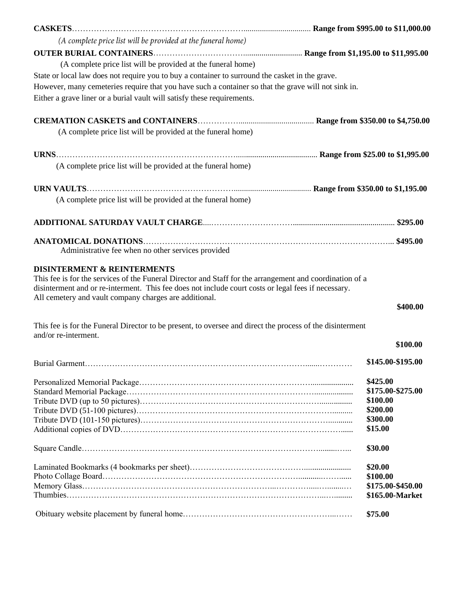| (A complete price list will be provided at the funeral home)                                                                                                                                                                                                               |                                      |
|----------------------------------------------------------------------------------------------------------------------------------------------------------------------------------------------------------------------------------------------------------------------------|--------------------------------------|
|                                                                                                                                                                                                                                                                            |                                      |
| (A complete price list will be provided at the funeral home)                                                                                                                                                                                                               |                                      |
| State or local law does not require you to buy a container to surround the casket in the grave.                                                                                                                                                                            |                                      |
| However, many cemeteries require that you have such a container so that the grave will not sink in.                                                                                                                                                                        |                                      |
| Either a grave liner or a burial vault will satisfy these requirements.                                                                                                                                                                                                    |                                      |
|                                                                                                                                                                                                                                                                            |                                      |
| (A complete price list will be provided at the funeral home)                                                                                                                                                                                                               |                                      |
|                                                                                                                                                                                                                                                                            |                                      |
| (A complete price list will be provided at the funeral home)                                                                                                                                                                                                               |                                      |
|                                                                                                                                                                                                                                                                            |                                      |
| (A complete price list will be provided at the funeral home)                                                                                                                                                                                                               |                                      |
|                                                                                                                                                                                                                                                                            |                                      |
|                                                                                                                                                                                                                                                                            |                                      |
| Administrative fee when no other services provided                                                                                                                                                                                                                         |                                      |
| disinterment and or re-interment. This fee does not include court costs or legal fees if necessary.<br>All cemetery and vault company charges are additional.<br>This fee is for the Funeral Director to be present, to oversee and direct the process of the disinterment | \$400.00                             |
| and/or re-interment.                                                                                                                                                                                                                                                       |                                      |
|                                                                                                                                                                                                                                                                            | \$100.00                             |
|                                                                                                                                                                                                                                                                            | \$145.00-\$195.00                    |
|                                                                                                                                                                                                                                                                            | \$425.00                             |
|                                                                                                                                                                                                                                                                            | \$175.00-\$275.00                    |
|                                                                                                                                                                                                                                                                            | \$100.00                             |
|                                                                                                                                                                                                                                                                            | \$200.00                             |
|                                                                                                                                                                                                                                                                            | \$300.00                             |
|                                                                                                                                                                                                                                                                            | \$15.00                              |
|                                                                                                                                                                                                                                                                            | \$30.00                              |
|                                                                                                                                                                                                                                                                            | \$20.00                              |
|                                                                                                                                                                                                                                                                            |                                      |
|                                                                                                                                                                                                                                                                            | \$100.00                             |
|                                                                                                                                                                                                                                                                            |                                      |
|                                                                                                                                                                                                                                                                            | \$175.00-\$450.00<br>\$165.00-Market |